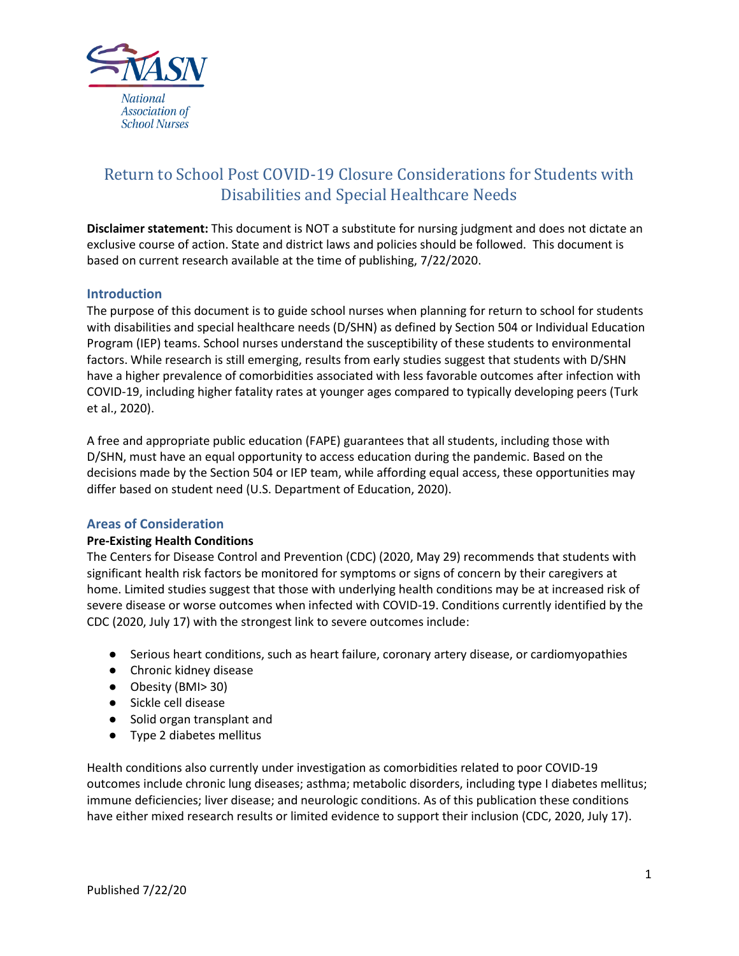

# Return to School Post COVID-19 Closure Considerations for Students with Disabilities and Special Healthcare Needs

**Disclaimer statement:** This document is NOT a substitute for nursing judgment and does not dictate an exclusive course of action. State and district laws and policies should be followed. This document is based on current research available at the time of publishing, 7/22/2020.

## **Introduction**

The purpose of this document is to guide school nurses when planning for return to school for students with disabilities and special healthcare needs (D/SHN) as defined by Section 504 or Individual Education Program (IEP) teams. School nurses understand the susceptibility of these students to environmental factors. While research is still emerging, results from early studies suggest that students with D/SHN have a higher prevalence of comorbidities associated with less favorable outcomes after infection with COVID-19, including higher fatality rates at younger ages compared to typically developing peers (Turk et al., 2020).

A free and appropriate public education (FAPE) guarantees that all students, including those with D/SHN, must have an equal opportunity to access education during the pandemic. Based on the decisions made by the Section 504 or IEP team, while affording equal access, these opportunities may differ based on student need (U.S. Department of Education, 2020).

## **Areas of Consideration**

## **Pre-Existing Health Conditions**

The Centers for Disease Control and Prevention (CDC) (2020, May 29) recommends that students with significant health risk factors be monitored for symptoms or signs of concern by their caregivers at home. Limited studies suggest that those with underlying health conditions may be at increased risk of severe disease or worse outcomes when infected with COVID-19. Conditions currently identified by the CDC (2020, July 17) with the strongest link to severe outcomes include:

- Serious heart conditions, such as heart failure, coronary artery disease, or cardiomyopathies
- Chronic kidney disease
- Obesity (BMI> 30)
- Sickle cell disease
- Solid organ transplant and
- Type 2 diabetes mellitus

Health conditions also currently under investigation as comorbidities related to poor COVID-19 outcomes include chronic lung diseases; asthma; metabolic disorders, including type I diabetes mellitus; immune deficiencies; liver disease; and neurologic conditions. As of this publication these conditions have either mixed research results or limited evidence to support their inclusion (CDC, 2020, July 17).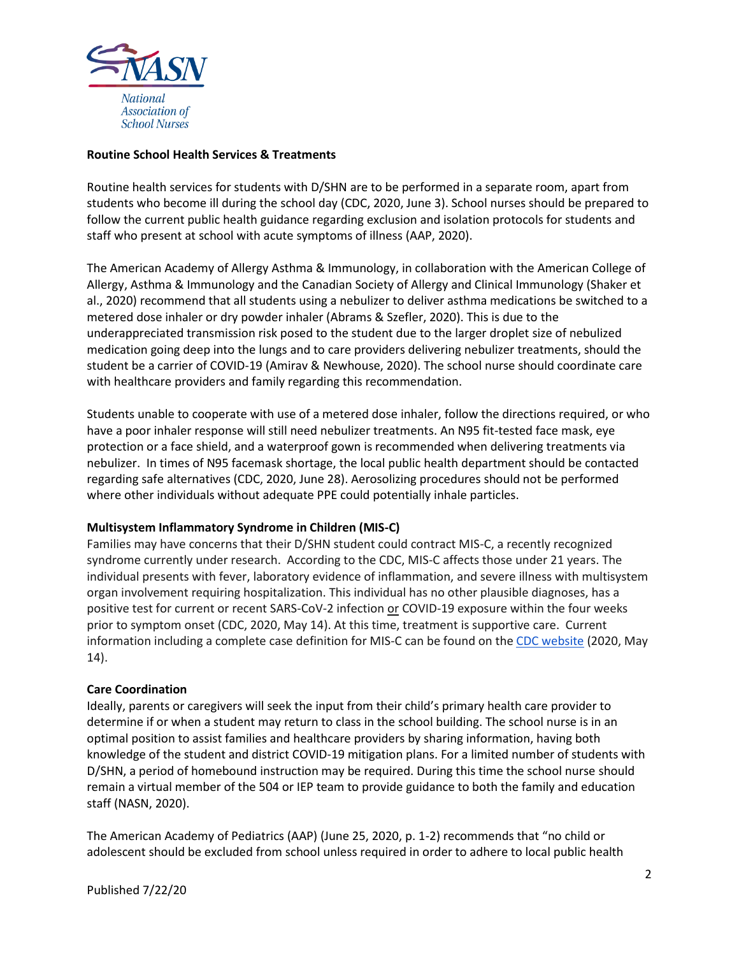

### **Routine School Health Services & Treatments**

Routine health services for students with D/SHN are to be performed in a separate room, apart from students who become ill during the school day (CDC, 2020, June 3). School nurses should be prepared to follow the current public health guidance regarding exclusion and isolation protocols for students and staff who present at school with acute symptoms of illness (AAP, 2020).

The American Academy of Allergy Asthma & Immunology, in collaboration with the American College of Allergy, Asthma & Immunology and the Canadian Society of Allergy and Clinical Immunology (Shaker et al., 2020) recommend that all students using a nebulizer to deliver asthma medications be switched to a metered dose inhaler or dry powder inhaler (Abrams & Szefler, 2020). This is due to the underappreciated transmission risk posed to the student due to the larger droplet size of nebulized medication going deep into the lungs and to care providers delivering nebulizer treatments, should the student be a carrier of COVID-19 (Amirav & Newhouse, 2020). The school nurse should coordinate care with healthcare providers and family regarding this recommendation.

Students unable to cooperate with use of a metered dose inhaler, follow the directions required, or who have a poor inhaler response will still need nebulizer treatments. An N95 fit-tested face mask, eye protection or a face shield, and a waterproof gown is recommended when delivering treatments via nebulizer. In times of N95 facemask shortage, the local public health department should be contacted regarding safe alternatives (CDC, 2020, June 28). Aerosolizing procedures should not be performed where other individuals without adequate PPE could potentially inhale particles.

## **Multisystem Inflammatory Syndrome in Children (MIS-C)**

Families may have concerns that their D/SHN student could contract MIS-C, a recently recognized syndrome currently under research. According to the CDC, MIS-C affects those under 21 years. The individual presents with fever, laboratory evidence of inflammation, and severe illness with multisystem organ involvement requiring hospitalization. This individual has no other plausible diagnoses, has a positive test for current or recent SARS-CoV-2 infection or COVID-19 exposure within the four weeks prior to symptom onset (CDC, 2020, May 14). At this time, treatment is supportive care. Current information including a complete case definition for MIS-C can be found on the [CDC website](https://emergency.cdc.gov/han/2020/han00432.asp) (2020, May 14).

#### **Care Coordination**

Ideally, parents or caregivers will seek the input from their child's primary health care provider to determine if or when a student may return to class in the school building. The school nurse is in an optimal position to assist families and healthcare providers by sharing information, having both knowledge of the student and district COVID-19 mitigation plans. For a limited number of students with D/SHN, a period of homebound instruction may be required. During this time the school nurse should remain a virtual member of the 504 or IEP team to provide guidance to both the family and education staff (NASN, 2020).

The American Academy of Pediatrics (AAP) (June 25, 2020, p. 1-2) recommends that "no child or adolescent should be excluded from school unless required in order to adhere to local public health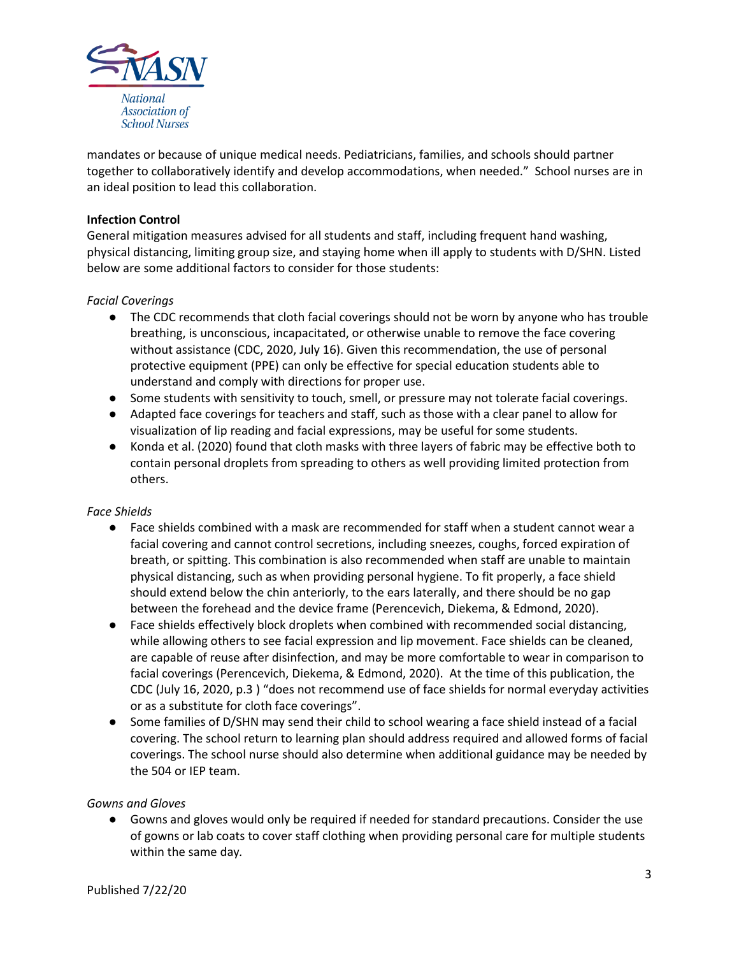

mandates or because of unique medical needs. Pediatricians, families, and schools should partner together to collaboratively identify and develop accommodations, when needed." School nurses are in an ideal position to lead this collaboration.

## **Infection Control**

General mitigation measures advised for all students and staff, including frequent hand washing, physical distancing, limiting group size, and staying home when ill apply to students with D/SHN. Listed below are some additional factors to consider for those students:

## *Facial Coverings*

- The CDC recommends that cloth facial coverings should not be worn by anyone who has trouble breathing, is unconscious, incapacitated, or otherwise unable to remove the face covering without assistance (CDC, 2020, July 16). Given this recommendation, the use of personal protective equipment (PPE) can only be effective for special education students able to understand and comply with directions for proper use.
- Some students with sensitivity to touch, smell, or pressure may not tolerate facial coverings.
- Adapted face coverings for teachers and staff, such as those with a clear panel to allow for visualization of lip reading and facial expressions, may be useful for some students.
- Konda et al. (2020) found that cloth masks with three layers of fabric may be effective both to contain personal droplets from spreading to others as well providing limited protection from others.

## *Face Shields*

- Face shields combined with a mask are recommended for staff when a student cannot wear a facial covering and cannot control secretions, including sneezes, coughs, forced expiration of breath, or spitting. This combination is also recommended when staff are unable to maintain physical distancing, such as when providing personal hygiene. To fit properly, a face shield should extend below the chin anteriorly, to the ears laterally, and there should be no gap between the forehead and the device frame (Perencevich, Diekema, & Edmond, 2020).
- Face shields effectively block droplets when combined with recommended social distancing, while allowing others to see facial expression and lip movement. Face shields can be cleaned, are capable of reuse after disinfection, and may be more comfortable to wear in comparison to facial coverings (Perencevich, Diekema, & Edmond, 2020). At the time of this publication, the CDC (July 16, 2020, p.3 ) "does not recommend use of face shields for normal everyday activities or as a substitute for cloth face coverings".
- Some families of D/SHN may send their child to school wearing a face shield instead of a facial covering. The school return to learning plan should address required and allowed forms of facial coverings. The school nurse should also determine when additional guidance may be needed by the 504 or IEP team.

## *Gowns and Gloves*

● Gowns and gloves would only be required if needed for standard precautions. Consider the use of gowns or lab coats to cover staff clothing when providing personal care for multiple students within the same day*.*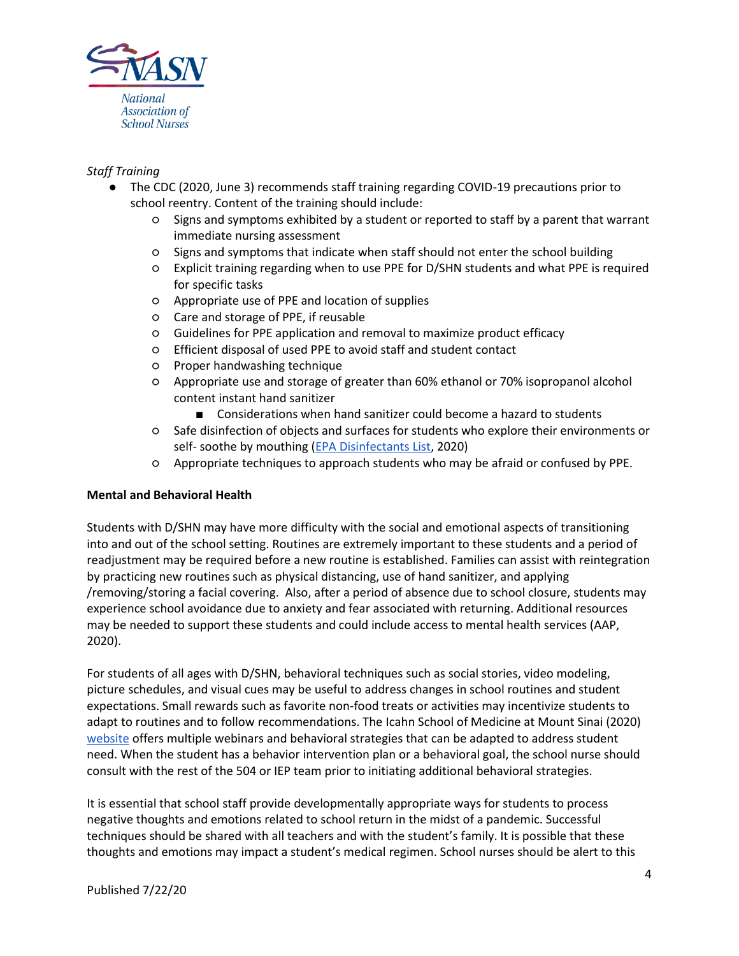

## *Staff Training*

- The CDC (2020, June 3) recommends staff training regarding COVID-19 precautions prior to school reentry. Content of the training should include:
	- Signs and symptoms exhibited by a student or reported to staff by a parent that warrant immediate nursing assessment
	- Signs and symptoms that indicate when staff should not enter the school building
	- Explicit training regarding when to use PPE for D/SHN students and what PPE is required for specific tasks
	- Appropriate use of PPE and location of supplies
	- Care and storage of PPE, if reusable
	- Guidelines for PPE application and removal to maximize product efficacy
	- Efficient disposal of used PPE to avoid staff and student contact
	- Proper handwashing technique
	- Appropriate use and storage of greater than 60% ethanol or 70% isopropanol alcohol content instant hand sanitizer
		- Considerations when hand sanitizer could become a hazard to students
	- Safe disinfection of objects and surfaces for students who explore their environments or self- soothe by mouthing [\(EPA Disinfectants List,](https://www.epa.gov/pesticide-registration/list-n-disinfectants-use-against-sars-cov-2-covid-19) 2020)
	- Appropriate techniques to approach students who may be afraid or confused by PPE.

## **Mental and Behavioral Health**

Students with D/SHN may have more difficulty with the social and emotional aspects of transitioning into and out of the school setting. Routines are extremely important to these students and a period of readjustment may be required before a new routine is established. Families can assist with reintegration by practicing new routines such as physical distancing, use of hand sanitizer, and applying /removing/storing a facial covering. Also, after a period of absence due to school closure, students may experience school avoidance due to anxiety and fear associated with returning. Additional resources may be needed to support these students and could include access to mental health services (AAP, 2020).

For students of all ages with D/SHN, behavioral techniques such as social stories, video modeling, picture schedules, and visual cues may be useful to address changes in school routines and student expectations. Small rewards such as favorite non-food treats or activities may incentivize students to adapt to routines and to follow recommendations. The Icahn School of Medicine at Mount Sinai (2020) [website](https://icahn.mssm.edu/research/seaver/resources/covid-19-autism-resources) offers multiple webinars and behavioral strategies that can be adapted to address student need. When the student has a behavior intervention plan or a behavioral goal, the school nurse should consult with the rest of the 504 or IEP team prior to initiating additional behavioral strategies.

It is essential that school staff provide developmentally appropriate ways for students to process negative thoughts and emotions related to school return in the midst of a pandemic. Successful techniques should be shared with all teachers and with the student's family. It is possible that these thoughts and emotions may impact a student's medical regimen. School nurses should be alert to this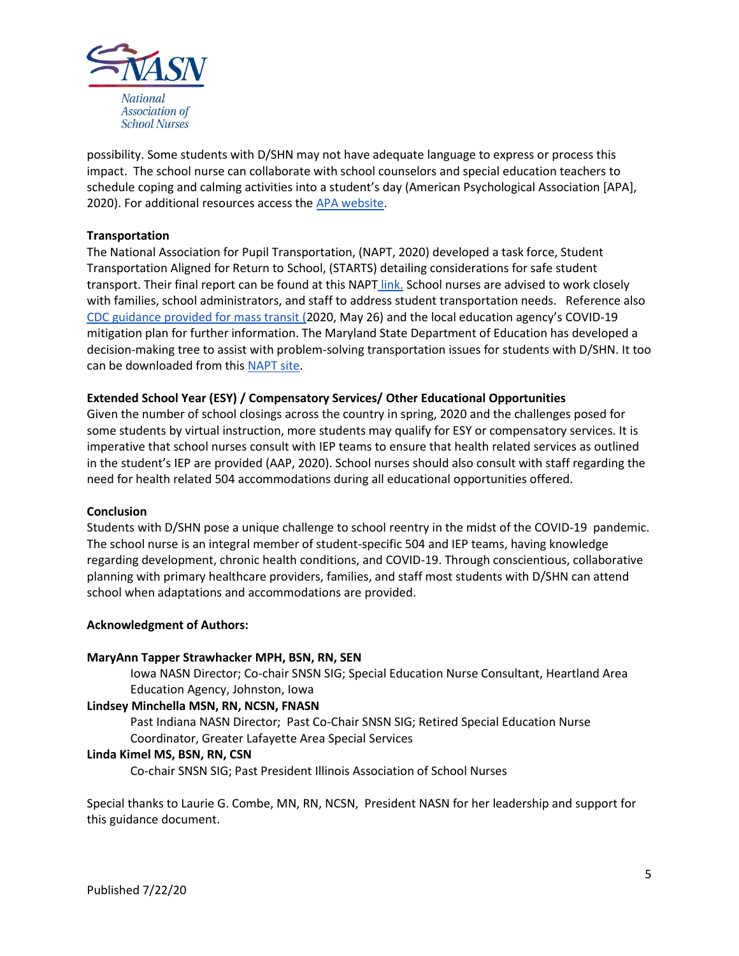

possibility. Some students with D/SHN may not have adequate language to express or process this impact. The school nurse can collaborate with school counselors and special education teachers to schedule coping and calming activities into a student's day (American Psychological Association [APA], 2020). For additional resources access the [APA website.](https://www.apa.org/topics/covid-19/parenting-chronic-disease)

## **Transportation**

The National Association for Pupil Transportation, (NAPT, 2020) developed a task force, Student Transportation Aligned for Return to School, (STARTS) detailing considerations for safe student transport. Their final report can be found at this NAPT [link.](https://www.napt.org/starts) School nurses are advised to work closely with families, school administrators, and staff to address student transportation needs. Reference also [CDC guidance provided for mass transit](https://www.cdc.gov/coronavirus/2019-ncov/community/organizations/bus-transit-operator.html) [\(](https://www.cdc.gov/coronavirus/2019-ncov/community/organizations/bus-transit-operator.html)2020, May 26) and the local education agency's COVID-19 mitigation plan for further information. The Maryland State Department of Education has developed a decision-making tree to assist with problem-solving transportation issues for students with D/SHN. It too can be downloaded from this [NAPT site.](https://www.napt.org/Files/Appendix%20C%20(1).pdf)

## **Extended School Year (ESY) / Compensatory Services/ Other Educational Opportunities**

Given the number of school closings across the country in spring, 2020 and the challenges posed for some students by virtual instruction, more students may qualify for ESY or compensatory services. It is imperative that school nurses consult with IEP teams to ensure that health related services as outlined in the student's IEP are provided (AAP, 2020). School nurses should also consult with staff regarding the need for health related 504 accommodations during all educational opportunities offered.

## **Conclusion**

Students with D/SHN pose a unique challenge to school reentry in the midst of the COVID-19 pandemic. The school nurse is an integral member of student-specific 504 and IEP teams, having knowledge regarding development, chronic health conditions, and COVID-19. Through conscientious, collaborative planning with primary healthcare providers, families, and staff most students with D/SHN can attend school when adaptations and accommodations are provided.

## **Acknowledgment of Authors:**

## **MaryAnn Tapper Strawhacker MPH, BSN, RN, SEN**

Iowa NASN Director; Co-chair SNSN SIG; Special Education Nurse Consultant, Heartland Area Education Agency, Johnston, Iowa

## **Lindsey Minchella MSN, RN, NCSN, FNASN**

Past Indiana NASN Director; Past Co-Chair SNSN SIG; Retired Special Education Nurse Coordinator, Greater Lafayette Area Special Services

## **Linda Kimel MS, BSN, RN, CSN**

Co-chair SNSN SIG; Past President Illinois Association of School Nurses

Special thanks to Laurie G. Combe, MN, RN, NCSN, President NASN for her leadership and support for this guidance document.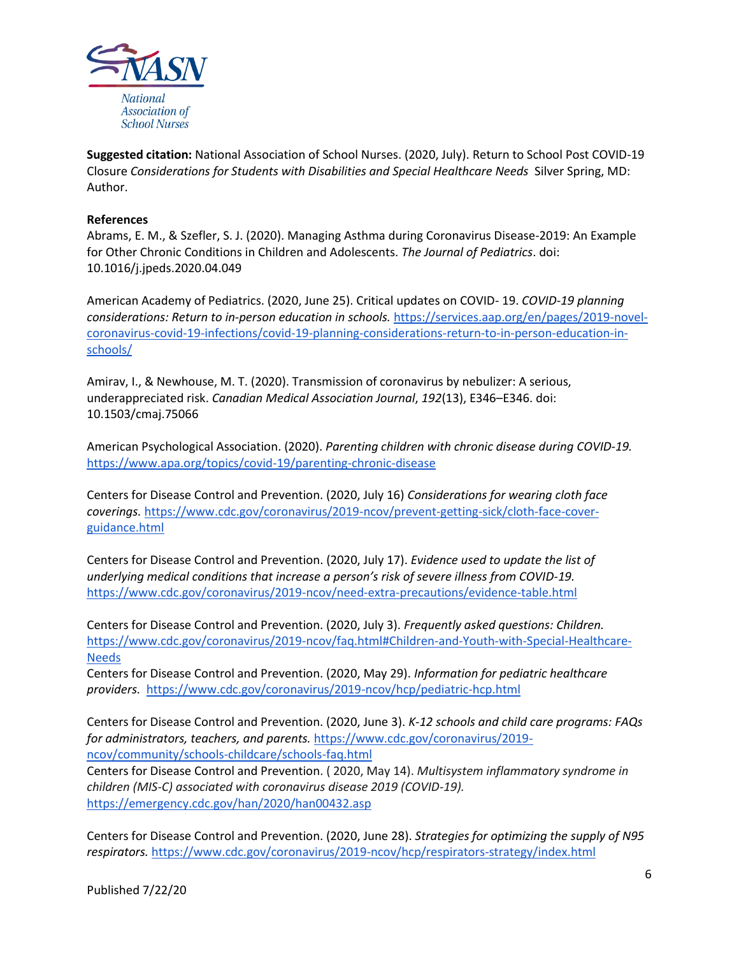

**Suggested citation:** National Association of School Nurses. (2020, July). Return to School Post COVID-19 Closure *Considerations for Students with Disabilities and Special Healthcare Needs* Silver Spring, MD: Author.

## **References**

Abrams, E. M., & Szefler, S. J. (2020). Managing Asthma during Coronavirus Disease-2019: An Example for Other Chronic Conditions in Children and Adolescents. *The Journal of Pediatrics*. doi: 10.1016/j.jpeds.2020.04.049

American Academy of Pediatrics. (2020, June 25). Critical updates on COVID- 19. *COVID-19 planning considerations: Return to in-person education in schools.* [https://services.aap.org/en/pages/2019-novel](https://services.aap.org/en/pages/2019-novel-coronavirus-covid-19-infections/covid-19-planning-considerations-return-to-in-person-education-in-schools/)[coronavirus-covid-19-infections/covid-19-planning-considerations-return-to-in-person-education-in](https://services.aap.org/en/pages/2019-novel-coronavirus-covid-19-infections/covid-19-planning-considerations-return-to-in-person-education-in-schools/)[schools/](https://services.aap.org/en/pages/2019-novel-coronavirus-covid-19-infections/covid-19-planning-considerations-return-to-in-person-education-in-schools/) 

Amirav, I., & Newhouse, M. T. (2020). Transmission of coronavirus by nebulizer: A serious, underappreciated risk. *Canadian Medical Association Journal*, *192*(13), E346–E346. doi: 10.1503/cmaj.75066

American Psychological Association. (2020). *Parenting children with chronic disease during COVID-19.* <https://www.apa.org/topics/covid-19/parenting-chronic-disease>

Centers for Disease Control and Prevention. (2020, July 16) *Considerations for wearing cloth face coverings.* [https://www.cdc.gov/coronavirus/2019-ncov/prevent-getting-sick/cloth-face-cover](https://www.cdc.gov/coronavirus/2019-ncov/prevent-getting-sick/cloth-face-cover-guidance.html)[guidance.html](https://www.cdc.gov/coronavirus/2019-ncov/prevent-getting-sick/cloth-face-cover-guidance.html)

Centers for Disease Control and Prevention. (2020, July 17). *Evidence used to update the list of underlying medical conditions that increase a person's risk of severe illness from COVID-19.*  <https://www.cdc.gov/coronavirus/2019-ncov/need-extra-precautions/evidence-table.html>

Centers for Disease Control and Prevention. (2020, July 3). *Frequently asked questions: Children.*  [https://www.cdc.gov/coronavirus/2019-ncov/faq.html#Children-and-Youth-with-Special-Healthcare-](https://www.cdc.gov/coronavirus/2019-ncov/faq.html#Children-and-Youth-with-Special-Healthcare-Needs)[Needs](https://www.cdc.gov/coronavirus/2019-ncov/faq.html#Children-and-Youth-with-Special-Healthcare-Needs)

Centers for Disease Control and Prevention. (2020, May 29). *Information for pediatric healthcare providers.* <https://www.cdc.gov/coronavirus/2019-ncov/hcp/pediatric-hcp.html>

Centers for Disease Control and Prevention. (2020, June 3). *K-12 schools and child care programs: FAQs for administrators, teachers, and parents.* [https://www.cdc.gov/coronavirus/2019](https://www.cdc.gov/coronavirus/2019-ncov/community/schools-childcare/schools-faq.html) [ncov/community/schools-childcare/schools-faq.html](https://www.cdc.gov/coronavirus/2019-ncov/community/schools-childcare/schools-faq.html) Centers for Disease Control and Prevention. ( 2020, May 14). *Multisystem inflammatory syndrome in children (MIS-C) associated with coronavirus disease 2019 (COVID-19).*

<https://emergency.cdc.gov/han/2020/han00432.asp>

Centers for Disease Control and Prevention. (2020, June 28). *Strategies for optimizing the supply of N95 respirators.* <https://www.cdc.gov/coronavirus/2019-ncov/hcp/respirators-strategy/index.html>